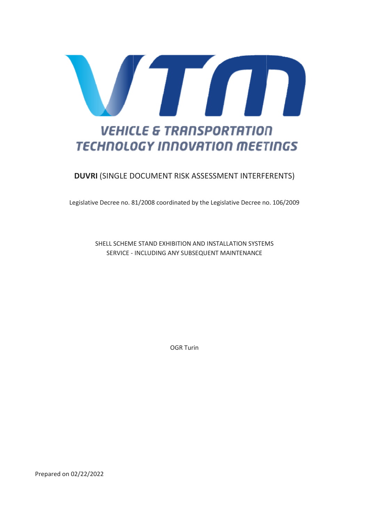

# **TECHNOLOGY INNOVATION MEETINGS**

# DUVRI (SINGLE DOCUMENT DOCUMENT RISK ASSESSMENT INTERFERENTS)

Legislative Decree no. 81/2008 coordinated by the Legislative Decree no. 106/2009

SHELL SCHEME SCHEME STAND EXHIBITION AND INSTALLATION SYSTEMS SERVICE - INCLUDING ANY SUBSEQUENT MAINTENANCE

OGR Turin

Prepared on 02/22/2022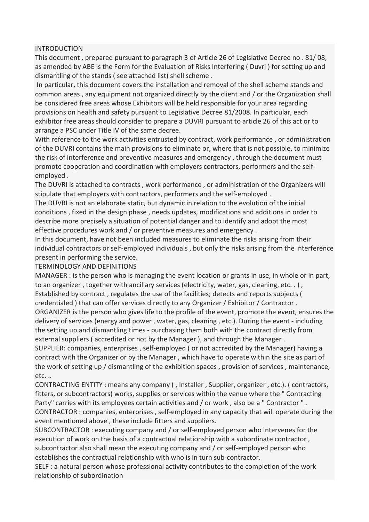## INTRODUCTION

This document , prepared pursuant to paragraph 3 of Article 26 of Legislative Decree no . 81/ 08, as amended by ABE is the Form for the Evaluation of Risks Interfering ( Duvri ) for setting up and dismantling of the stands ( see attached list) shell scheme .

 In particular, this document covers the installation and removal of the shell scheme stands and common areas , any equipment not organized directly by the client and / or the Organization shall be considered free areas whose Exhibitors will be held responsible for your area regarding provisions on health and safety pursuant to Legislative Decree 81/2008. In particular, each exhibitor free areas should consider to prepare a DUVRI pursuant to article 26 of this act or to arrange a PSC under Title IV of the same decree.

With reference to the work activities entrusted by contract, work performance , or administration of the DUVRI contains the main provisions to eliminate or, where that is not possible, to minimize the risk of interference and preventive measures and emergency , through the document must promote cooperation and coordination with employers contractors, performers and the selfemployed .

The DUVRI is attached to contracts , work performance , or administration of the Organizers will stipulate that employers with contractors, performers and the self-employed .

The DUVRI is not an elaborate static, but dynamic in relation to the evolution of the initial conditions , fixed in the design phase , needs updates, modifications and additions in order to describe more precisely a situation of potential danger and to identify and adopt the most effective procedures work and / or preventive measures and emergency .

In this document, have not been included measures to eliminate the risks arising from their individual contractors or self-employed individuals , but only the risks arising from the interference present in performing the service.

## TERMINOLOGY AND DEFINITIONS

MANAGER : is the person who is managing the event location or grants in use, in whole or in part, to an organizer , together with ancillary services (electricity, water, gas, cleaning, etc. . ) , Established by contract , regulates the use of the facilities; detects and reports subjects ( credentialed ) that can offer services directly to any Organizer / Exhibitor / Contractor . ORGANIZER is the person who gives life to the profile of the event, promote the event, ensures the delivery of services (energy and power , water, gas, cleaning , etc.). During the event - including the setting up and dismantling times - purchasing them both with the contract directly from external suppliers ( accredited or not by the Manager ), and through the Manager . SUPPLIER: companies, enterprises , self-employed ( or not accredited by the Manager) having a

contract with the Organizer or by the Manager , which have to operate within the site as part of the work of setting up / dismantling of the exhibition spaces , provision of services , maintenance, etc. ..

CONTRACTING ENTITY : means any company ( , Installer , Supplier, organizer , etc.). ( contractors, fitters, or subcontractors) works, supplies or services within the venue where the " Contracting Party" carries with its employees certain activities and / or work , also be a " Contractor " . CONTRACTOR : companies, enterprises , self-employed in any capacity that will operate during the event mentioned above , these include fitters and suppliers.

SUBCONTRACTOR : executing company and / or self-employed person who intervenes for the execution of work on the basis of a contractual relationship with a subordinate contractor , subcontractor also shall mean the executing company and / or self-employed person who establishes the contractual relationship with who is in turn sub-contractor.

SELF : a natural person whose professional activity contributes to the completion of the work relationship of subordination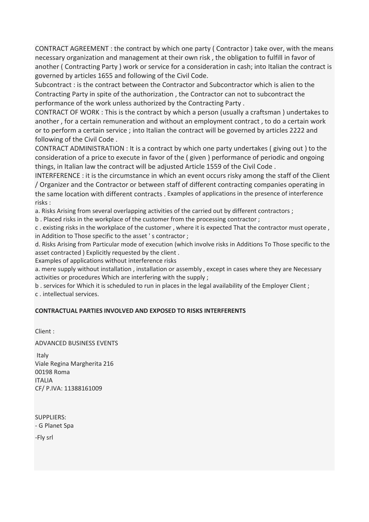CONTRACT AGREEMENT : the contract by which one party ( Contractor ) take over, with the means necessary organization and management at their own risk , the obligation to fulfill in favor of another ( Contracting Party ) work or service for a consideration in cash; into Italian the contract is governed by articles 1655 and following of the Civil Code.

Subcontract : is the contract between the Contractor and Subcontractor which is alien to the Contracting Party in spite of the authorization , the Contractor can not to subcontract the performance of the work unless authorized by the Contracting Party .

CONTRACT OF WORK : This is the contract by which a person (usually a craftsman ) undertakes to another , for a certain remuneration and without an employment contract , to do a certain work or to perform a certain service ; into Italian the contract will be governed by articles 2222 and following of the Civil Code .

CONTRACT ADMINISTRATION : It is a contract by which one party undertakes ( giving out ) to the consideration of a price to execute in favor of the ( given ) performance of periodic and ongoing things, in Italian law the contract will be adjusted Article 1559 of the Civil Code .

INTERFERENCE : it is the circumstance in which an event occurs risky among the staff of the Client / Organizer and the Contractor or between staff of different contracting companies operating in the same location with different contracts . Examples of applications in the presence of interference risks :

a. Risks Arising from several overlapping activities of the carried out by different contractors ;

b . Placed risks in the workplace of the customer from the processing contractor ;

c . existing risks in the workplace of the customer , where it is expected That the contractor must operate , in Addition to Those specific to the asset ' s contractor ;

d. Risks Arising from Particular mode of execution (which involve risks in Additions To Those specific to the asset contracted ) Explicitly requested by the client .

Examples of applications without interference risks

a. mere supply without installation , installation or assembly , except in cases where they are Necessary activities or procedures Which are interfering with the supply ;

b . services for Which it is scheduled to run in places in the legal availability of the Employer Client ; c . intellectual services.

## CONTRACTUAL PARTIES INVOLVED AND EXPOSED TO RISKS INTERFERENTS

Client :

ADVANCED BUSINESS EVENTS

 Italy Viale Regina Margherita 216 00198 Roma ITALIA CF/ P.IVA: 11388161009

SUPPLIERS: - G Planet Spa

-Fly srl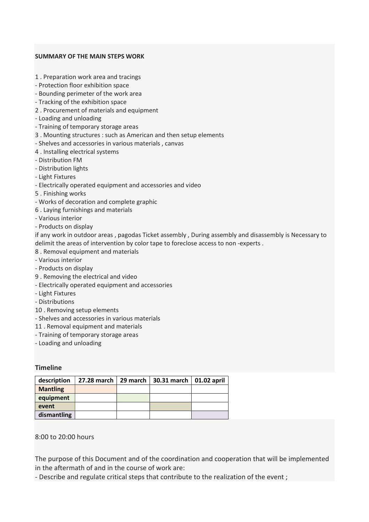## SUMMARY OF THE MAIN STEPS WORK

- 1 . Preparation work area and tracings
- Protection floor exhibition space
- Bounding perimeter of the work area
- Tracking of the exhibition space
- 2 . Procurement of materials and equipment
- Loading and unloading
- Training of temporary storage areas
- 3 . Mounting structures : such as American and then setup elements
- Shelves and accessories in various materials , canvas
- 4 . Installing electrical systems
- Distribution FM
- Distribution lights
- Light Fixtures
- Electrically operated equipment and accessories and video
- 5 . Finishing works
- Works of decoration and complete graphic
- 6 . Laying furnishings and materials
- Various interior
- Products on display

if any work in outdoor areas , pagodas Ticket assembly , During assembly and disassembly is Necessary to delimit the areas of intervention by color tape to foreclose access to non -experts .

- 8 . Removal equipment and materials
- Various interior
- Products on display
- 9 . Removing the electrical and video
- Electrically operated equipment and accessories
- Light Fixtures
- Distributions
- 10 . Removing setup elements
- Shelves and accessories in various materials
- 11 . Removal equipment and materials
- Training of temporary storage areas
- Loading and unloading

## Timeline

| description     | 27.28 march $\vert$ 29 march | 30.31 march   01.02 april |  |
|-----------------|------------------------------|---------------------------|--|
| <b>Mantling</b> |                              |                           |  |
| equipment       |                              |                           |  |
| event           |                              |                           |  |
| dismantling     |                              |                           |  |

## 8:00 to 20:00 hours

The purpose of this Document and of the coordination and cooperation that will be implemented in the aftermath of and in the course of work are:

- Describe and regulate critical steps that contribute to the realization of the event ;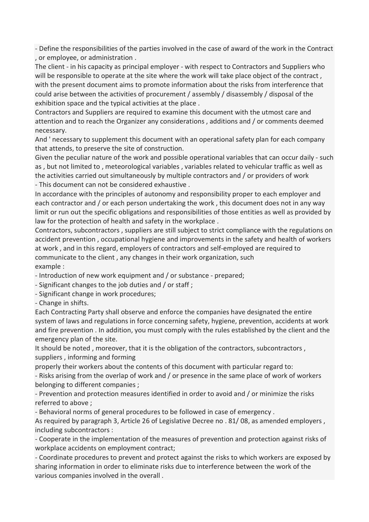- Define the responsibilities of the parties involved in the case of award of the work in the Contract , or employee, or administration .

The client - in his capacity as principal employer - with respect to Contractors and Suppliers who will be responsible to operate at the site where the work will take place object of the contract , with the present document aims to promote information about the risks from interference that could arise between the activities of procurement / assembly / disassembly / disposal of the exhibition space and the typical activities at the place .

Contractors and Suppliers are required to examine this document with the utmost care and attention and to reach the Organizer any considerations , additions and / or comments deemed necessary.

And ' necessary to supplement this document with an operational safety plan for each company that attends, to preserve the site of construction.

Given the peculiar nature of the work and possible operational variables that can occur daily - such as , but not limited to , meteorological variables , variables related to vehicular traffic as well as the activities carried out simultaneously by multiple contractors and / or providers of work - This document can not be considered exhaustive .

In accordance with the principles of autonomy and responsibility proper to each employer and each contractor and / or each person undertaking the work , this document does not in any way limit or run out the specific obligations and responsibilities of those entities as well as provided by law for the protection of health and safety in the workplace .

Contractors, subcontractors , suppliers are still subject to strict compliance with the regulations on accident prevention , occupational hygiene and improvements in the safety and health of workers at work , and in this regard, employers of contractors and self-employed are required to communicate to the client , any changes in their work organization, such example :

- Introduction of new work equipment and / or substance - prepared;

- Significant changes to the job duties and / or staff ;

- Significant change in work procedures;

- Change in shifts.

Each Contracting Party shall observe and enforce the companies have designated the entire system of laws and regulations in force concerning safety, hygiene, prevention, accidents at work and fire prevention . In addition, you must comply with the rules established by the client and the emergency plan of the site.

It should be noted , moreover, that it is the obligation of the contractors, subcontractors , suppliers , informing and forming

properly their workers about the contents of this document with particular regard to:

- Risks arising from the overlap of work and / or presence in the same place of work of workers belonging to different companies ;

- Prevention and protection measures identified in order to avoid and / or minimize the risks referred to above ;

- Behavioral norms of general procedures to be followed in case of emergency .

As required by paragraph 3, Article 26 of Legislative Decree no . 81/ 08, as amended employers , including subcontractors :

- Cooperate in the implementation of the measures of prevention and protection against risks of workplace accidents on employment contract;

- Coordinate procedures to prevent and protect against the risks to which workers are exposed by sharing information in order to eliminate risks due to interference between the work of the various companies involved in the overall .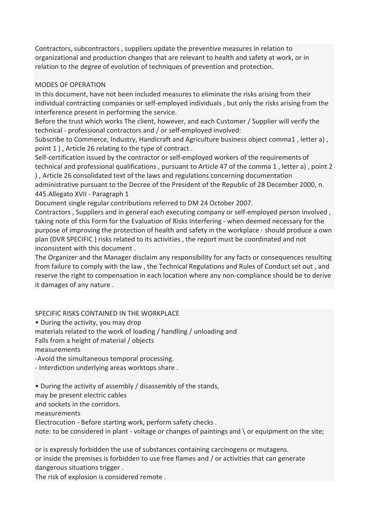Contractors, subcontractors , suppliers update the preventive measures in relation to organizational and production changes that are relevant to health and safety at work, or in relation to the degree of evolution of techniques of prevention and protection.

# MODES OF OPERATION

In this document, have not been included measures to eliminate the risks arising from their individual contracting companies or self-employed individuals , but only the risks arising from the interference present in performing the service.

Before the trust which works The client, however, and each Customer / Supplier will verify the technical - professional contractors and / or self-employed involved:

Subscribe to Commerce, Industry, Handicraft and Agriculture business object comma1 , letter a) , point 1 ) , Article 26 relating to the type of contract .

Self-certification issued by the contractor or self-employed workers of the requirements of technical and professional qualifications , pursuant to Article 47 of the comma 1 , letter a) , point 2 ) , Article 26 consolidated text of the laws and regulations concerning documentation administrative pursuant to the Decree of the President of the Republic of 28 December 2000, n. 445.Allegato XVII - Paragraph 1

Document single regular contributions referred to DM 24 October 2007.

Contractors , Suppliers and in general each executing company or self-employed person involved , taking note of this Form for the Evaluation of Risks Interfering - when deemed necessary for the purpose of improving the protection of health and safety in the workplace - should produce a own plan (DVR SPECIFIC ) risks related to its activities , the report must be coordinated and not inconsistent with this document .

The Organizer and the Manager disclaim any responsibility for any facts or consequences resulting from failure to comply with the law , the Technical Regulations and Rules of Conduct set out , and reserve the right to compensation in each location where any non-compliance should be to derive it damages of any nature .

# SPECIFIC RISKS CONTAINED IN THE WORKPLACE

• During the activity, you may drop

materials related to the work of loading / handling / unloading and

Falls from a height of material / objects

measurements

-Avoid the simultaneous temporal processing.

- Interdiction underlying areas worktops share .

• During the activity of assembly / disassembly of the stands,

may be present electric cables

and sockets in the corridors.

measurements

Electrocution - Before starting work, perform safety checks .

note: to be considered in plant - voltage or changes of paintings and \ or equipment on the site;

or is expressly forbidden the use of substances containing carcinogens or mutagens. or inside the premises is forbidden to use free flames and / or activities that can generate dangerous situations trigger .

The risk of explosion is considered remote .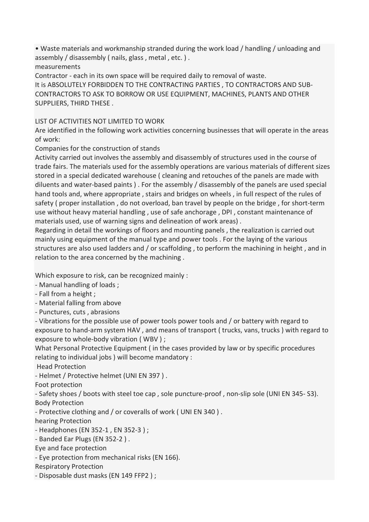• Waste materials and workmanship stranded during the work load / handling / unloading and assembly / disassembly ( nails, glass , metal , etc. ) .

measurements

Contractor - each in its own space will be required daily to removal of waste.

It is ABSOLUTELY FORBIDDEN TO THE CONTRACTING PARTIES , TO CONTRACTORS AND SUB-CONTRACTORS TO ASK TO BORROW OR USE EQUIPMENT, MACHINES, PLANTS AND OTHER SUPPLIERS, THIRD THESE .

LIST OF ACTIVITIES NOT LIMITED TO WORK

Are identified in the following work activities concerning businesses that will operate in the areas of work:

Companies for the construction of stands

Activity carried out involves the assembly and disassembly of structures used in the course of trade fairs. The materials used for the assembly operations are various materials of different sizes stored in a special dedicated warehouse ( cleaning and retouches of the panels are made with diluents and water-based paints ) . For the assembly / disassembly of the panels are used special hand tools and, where appropriate , stairs and bridges on wheels , in full respect of the rules of safety ( proper installation , do not overload, ban travel by people on the bridge , for short-term use without heavy material handling , use of safe anchorage , DPI , constant maintenance of materials used, use of warning signs and delineation of work areas) .

Regarding in detail the workings of floors and mounting panels , the realization is carried out mainly using equipment of the manual type and power tools . For the laying of the various structures are also used ladders and / or scaffolding , to perform the machining in height , and in relation to the area concerned by the machining .

Which exposure to risk, can be recognized mainly :

- Manual handling of loads ;

- Fall from a height ;
- Material falling from above
- Punctures, cuts , abrasions

- Vibrations for the possible use of power tools power tools and / or battery with regard to exposure to hand-arm system HAV , and means of transport ( trucks, vans, trucks ) with regard to exposure to whole-body vibration ( WBV ) ;

What Personal Protective Equipment ( in the cases provided by law or by specific procedures relating to individual jobs ) will become mandatory :

Head Protection

- Helmet / Protective helmet (UNI EN 397 ) .

Foot protection

- Safety shoes / boots with steel toe cap , sole puncture-proof , non-slip sole (UNI EN 345- S3). Body Protection

- Protective clothing and / or coveralls of work ( UNI EN 340 ) .

hearing Protection

- Headphones (EN 352-1 , EN 352-3 ) ;
- Banded Ear Plugs (EN 352-2 ) .

Eye and face protection

- Eye protection from mechanical risks (EN 166).

Respiratory Protection

- Disposable dust masks (EN 149 FFP2 ) ;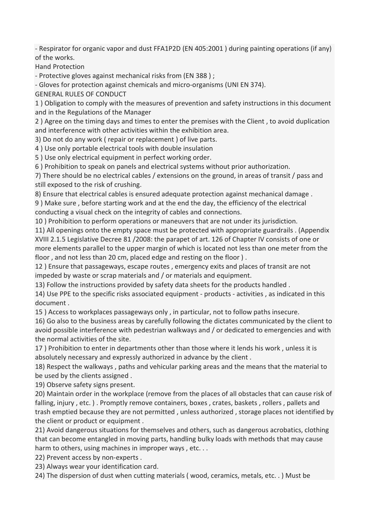- Respirator for organic vapor and dust FFA1P2D (EN 405:2001 ) during painting operations (if any) of the works.

Hand Protection

- Protective gloves against mechanical risks from (EN 388 ) ;

- Gloves for protection against chemicals and micro-organisms (UNI EN 374).

GENERAL RULES OF CONDUCT

1 ) Obligation to comply with the measures of prevention and safety instructions in this document and in the Regulations of the Manager

2 ) Agree on the timing days and times to enter the premises with the Client , to avoid duplication and interference with other activities within the exhibition area.

3) Do not do any work ( repair or replacement ) of live parts.

4 ) Use only portable electrical tools with double insulation

5 ) Use only electrical equipment in perfect working order.

6 ) Prohibition to speak on panels and electrical systems without prior authorization.

7) There should be no electrical cables / extensions on the ground, in areas of transit / pass and still exposed to the risk of crushing.

8) Ensure that electrical cables is ensured adequate protection against mechanical damage .

9 ) Make sure , before starting work and at the end the day, the efficiency of the electrical conducting a visual check on the integrity of cables and connections.

10 ) Prohibition to perform operations or maneuvers that are not under its jurisdiction.

11) All openings onto the empty space must be protected with appropriate guardrails . (Appendix XVIII 2.1.5 Legislative Decree 81 /2008: the parapet of art. 126 of Chapter IV consists of one or more elements parallel to the upper margin of which is located not less than one meter from the floor , and not less than 20 cm, placed edge and resting on the floor ) .

12 ) Ensure that passageways, escape routes , emergency exits and places of transit are not impeded by waste or scrap materials and / or materials and equipment.

13) Follow the instructions provided by safety data sheets for the products handled .

14) Use PPE to the specific risks associated equipment - products - activities , as indicated in this document .

15 ) Access to workplaces passageways only , in particular, not to follow paths insecure.

16) Go also to the business areas by carefully following the dictates communicated by the client to avoid possible interference with pedestrian walkways and / or dedicated to emergencies and with the normal activities of the site.

17 ) Prohibition to enter in departments other than those where it lends his work , unless it is absolutely necessary and expressly authorized in advance by the client .

18) Respect the walkways , paths and vehicular parking areas and the means that the material to be used by the clients assigned .

19) Observe safety signs present.

20) Maintain order in the workplace (remove from the places of all obstacles that can cause risk of falling, injury , etc. ) . Promptly remove containers, boxes , crates, baskets , rollers , pallets and trash emptied because they are not permitted , unless authorized , storage places not identified by the client or product or equipment .

21) Avoid dangerous situations for themselves and others, such as dangerous acrobatics, clothing that can become entangled in moving parts, handling bulky loads with methods that may cause harm to others, using machines in improper ways, etc...

22) Prevent access by non-experts .

23) Always wear your identification card.

24) The dispersion of dust when cutting materials ( wood, ceramics, metals, etc. . ) Must be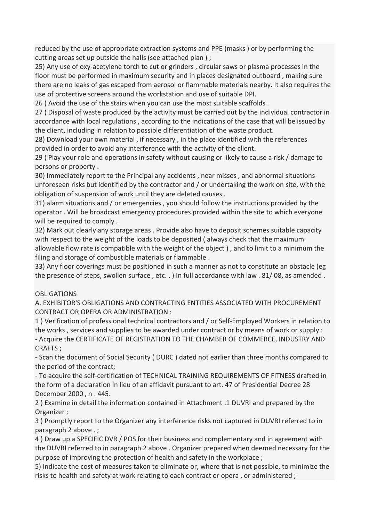reduced by the use of appropriate extraction systems and PPE (masks ) or by performing the cutting areas set up outside the halls (see attached plan ) ;

25) Any use of oxy-acetylene torch to cut or grinders , circular saws or plasma processes in the floor must be performed in maximum security and in places designated outboard , making sure there are no leaks of gas escaped from aerosol or flammable materials nearby. It also requires the use of protective screens around the workstation and use of suitable DPI.

26 ) Avoid the use of the stairs when you can use the most suitable scaffolds .

27 ) Disposal of waste produced by the activity must be carried out by the individual contractor in accordance with local regulations , according to the indications of the case that will be issued by the client, including in relation to possible differentiation of the waste product.

28) Download your own material , if necessary , in the place identified with the references provided in order to avoid any interference with the activity of the client.

29 ) Play your role and operations in safety without causing or likely to cause a risk / damage to persons or property .

30) Immediately report to the Principal any accidents , near misses , and abnormal situations unforeseen risks but identified by the contractor and / or undertaking the work on site, with the obligation of suspension of work until they are deleted causes .

31) alarm situations and / or emergencies , you should follow the instructions provided by the operator . Will be broadcast emergency procedures provided within the site to which everyone will be required to comply .

32) Mark out clearly any storage areas . Provide also have to deposit schemes suitable capacity with respect to the weight of the loads to be deposited ( always check that the maximum allowable flow rate is compatible with the weight of the object ) , and to limit to a minimum the filing and storage of combustible materials or flammable .

33) Any floor coverings must be positioned in such a manner as not to constitute an obstacle (eg the presence of steps, swollen surface , etc. . ) In full accordance with law . 81/ 08, as amended .

# **OBLIGATIONS**

A. EXHIBITOR'S OBLIGATIONS AND CONTRACTING ENTITIES ASSOCIATED WITH PROCUREMENT CONTRACT OR OPERA OR ADMINISTRATION :

1 ) Verification of professional technical contractors and / or Self-Employed Workers in relation to the works , services and supplies to be awarded under contract or by means of work or supply : - Acquire the CERTIFICATE OF REGISTRATION TO THE CHAMBER OF COMMERCE, INDUSTRY AND CRAFTS ;

- Scan the document of Social Security ( DURC ) dated not earlier than three months compared to the period of the contract;

- To acquire the self-certification of TECHNICAL TRAINING REQUIREMENTS OF FITNESS drafted in the form of a declaration in lieu of an affidavit pursuant to art. 47 of Presidential Decree 28 December 2000 , n . 445.

2 ) Examine in detail the information contained in Attachment .1 DUVRI and prepared by the Organizer ;

3 ) Promptly report to the Organizer any interference risks not captured in DUVRI referred to in paragraph 2 above . ;

4 ) Draw up a SPECIFIC DVR / POS for their business and complementary and in agreement with the DUVRI referred to in paragraph 2 above . Organizer prepared when deemed necessary for the purpose of improving the protection of health and safety in the workplace ;

5) Indicate the cost of measures taken to eliminate or, where that is not possible, to minimize the risks to health and safety at work relating to each contract or opera , or administered ;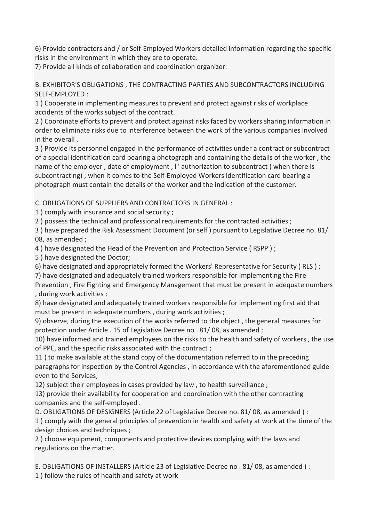6) Provide contractors and / or Self-Employed Workers detailed information regarding the specific risks in the environment in which they are to operate.

7) Provide all kinds of collaboration and coordination organizer.

B. EXHIBITOR'S OBLIGATIONS , THE CONTRACTING PARTIES AND SUBCONTRACTORS INCLUDING SELF-EMPLOYED :

1 ) Cooperate in implementing measures to prevent and protect against risks of workplace accidents of the works subject of the contract.

2 ) Coordinate efforts to prevent and protect against risks faced by workers sharing information in order to eliminate risks due to interference between the work of the various companies involved in the overall .

3 ) Provide its personnel engaged in the performance of activities under a contract or subcontract of a special identification card bearing a photograph and containing the details of the worker , the name of the employer, date of employment, I'authorization to subcontract (when there is subcontracting) ; when it comes to the Self-Employed Workers identification card bearing a photograph must contain the details of the worker and the indication of the customer.

C. OBLIGATIONS OF SUPPLIERS AND CONTRACTORS IN GENERAL :

1 ) comply with insurance and social security ;

2 ) possess the technical and professional requirements for the contracted activities ;

3 ) have prepared the Risk Assessment Document (or self ) pursuant to Legislative Decree no. 81/ 08, as amended ;

4 ) have designated the Head of the Prevention and Protection Service ( RSPP ) ;

5 ) have designated the Doctor;

6) have designated and appropriately formed the Workers' Representative for Security ( RLS ) ;

7) have designated and adequately trained workers responsible for implementing the Fire

Prevention , Fire Fighting and Emergency Management that must be present in adequate numbers , during work activities ;

8) have designated and adequately trained workers responsible for implementing first aid that must be present in adequate numbers , during work activities ;

9) observe, during the execution of the works referred to the object , the general measures for protection under Article . 15 of Legislative Decree no . 81/ 08, as amended ;

10) have informed and trained employees on the risks to the health and safety of workers , the use of PPE, and the specific risks associated with the contract ;

11 ) to make available at the stand copy of the documentation referred to in the preceding paragraphs for inspection by the Control Agencies , in accordance with the aforementioned guide even to the Services;

12) subject their employees in cases provided by law , to health surveillance ;

13) provide their availability for cooperation and coordination with the other contracting companies and the self-employed .

D. OBLIGATIONS OF DESIGNERS (Article 22 of Legislative Decree no. 81/ 08, as amended ) :

1 ) comply with the general principles of prevention in health and safety at work at the time of the design choices and techniques ;

2 ) choose equipment, components and protective devices complying with the laws and regulations on the matter.

E. OBLIGATIONS OF INSTALLERS (Article 23 of Legislative Decree no . 81/ 08, as amended ) :

1 ) follow the rules of health and safety at work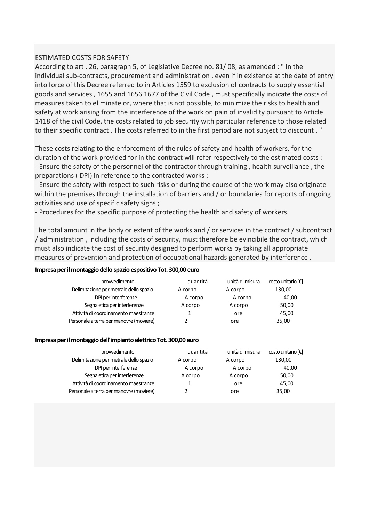## ESTIMATED COSTS FOR SAFETY

According to art . 26, paragraph 5, of Legislative Decree no. 81/ 08, as amended : " In the individual sub-contracts, procurement and administration , even if in existence at the date of entry into force of this Decree referred to in Articles 1559 to exclusion of contracts to supply essential goods and services , 1655 and 1656 1677 of the Civil Code , must specifically indicate the costs of measures taken to eliminate or, where that is not possible, to minimize the risks to health and safety at work arising from the interference of the work on pain of invalidity pursuant to Article 1418 of the civil Code, the costs related to job security with particular reference to those related to their specific contract . The costs referred to in the first period are not subject to discount . "

These costs relating to the enforcement of the rules of safety and health of workers, for the duration of the work provided for in the contract will refer respectively to the estimated costs : - Ensure the safety of the personnel of the contractor through training , health surveillance , the preparations ( DPI) in reference to the contracted works ;

- Ensure the safety with respect to such risks or during the course of the work may also originate within the premises through the installation of barriers and / or boundaries for reports of ongoing activities and use of specific safety signs ;

- Procedures for the specific purpose of protecting the health and safety of workers.

The total amount in the body or extent of the works and / or services in the contract / subcontract / administration , including the costs of security, must therefore be evincibile the contract, which must also indicate the cost of security designed to perform works by taking all appropriate measures of prevention and protection of occupational hazards generated by interference .

#### Impresa per il montaggio dello spazio espositivo Tot. 300,00 euro

| prowedimento                            | quantità | unità di misura | costo unitario [€] |
|-----------------------------------------|----------|-----------------|--------------------|
| Delimitazione perimetrale dello spazio  | A corpo  | A corpo         | 130,00             |
| DPI per interferenze                    | A corpo  | A corpo         | 40,00              |
| Segnaletica per interferenze            | A corpo  | A corpo         | 50,00              |
| Attività di coordinamento maestranze    |          | ore             | 45.00              |
| Personale a terra per manovre (moviere) |          | ore             | 35,00              |

#### Impresa per il montaggio dell'impianto elettrico Tot. 300,00 euro

| prowedimento                            | quantità | unità di misura | costo unitario [€] |
|-----------------------------------------|----------|-----------------|--------------------|
| Delimitazione perimetrale dello spazio  | A corpo  | A corpo         | 130,00             |
| DPI per interferenze                    | A corpo  | A corpo         | 40,00              |
| Segnaletica per interferenze            | A corpo  | A corpo         | 50,00              |
| Attività di coordinamento maestranze    |          | ore             | 45,00              |
| Personale a terra per manovre (moviere) |          | ore             | 35,00              |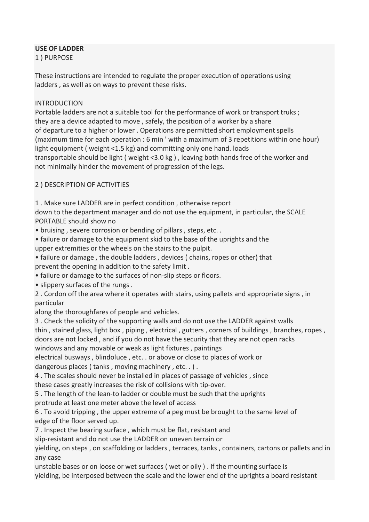# USE OF LADDER

1 ) PURPOSE

These instructions are intended to regulate the proper execution of operations using ladders , as well as on ways to prevent these risks.

## INTRODUCTION

Portable ladders are not a suitable tool for the performance of work or transport truks ; they are a device adapted to move , safely, the position of a worker by a share of departure to a higher or lower . Operations are permitted short employment spells (maximum time for each operation : 6 min ' with a maximum of 3 repetitions within one hour) light equipment ( weight <1.5 kg) and committing only one hand. loads transportable should be light ( weight <3.0 kg ) , leaving both hands free of the worker and not minimally hinder the movement of progression of the legs.

# 2 ) DESCRIPTION OF ACTIVITIES

1 . Make sure LADDER are in perfect condition , otherwise report

down to the department manager and do not use the equipment, in particular, the SCALE PORTABLE should show no

• bruising , severe corrosion or bending of pillars , steps, etc. .

• failure or damage to the equipment skid to the base of the uprights and the upper extremities or the wheels on the stairs to the pulpit.

• failure or damage , the double ladders , devices ( chains, ropes or other) that prevent the opening in addition to the safety limit .

• failure or damage to the surfaces of non-slip steps or floors.

• slippery surfaces of the rungs .

2 . Cordon off the area where it operates with stairs, using pallets and appropriate signs , in particular

along the thoroughfares of people and vehicles.

3 . Check the solidity of the supporting walls and do not use the LADDER against walls thin , stained glass, light box , piping , electrical , gutters , corners of buildings , branches, ropes , doors are not locked , and if you do not have the security that they are not open racks

windows and any movable or weak as light fixtures , paintings

electrical busways , blindoluce , etc. . or above or close to places of work or dangerous places ( tanks , moving machinery , etc. . ) .

4 . The scales should never be installed in places of passage of vehicles , since these cases greatly increases the risk of collisions with tip-over.

5 . The length of the lean-to ladder or double must be such that the uprights

protrude at least one meter above the level of access

6 . To avoid tripping , the upper extreme of a peg must be brought to the same level of edge of the floor served up.

7 . Inspect the bearing surface , which must be flat, resistant and

slip-resistant and do not use the LADDER on uneven terrain or

yielding, on steps , on scaffolding or ladders , terraces, tanks , containers, cartons or pallets and in any case

unstable bases or on loose or wet surfaces ( wet or oily ) . If the mounting surface is yielding, be interposed between the scale and the lower end of the uprights a board resistant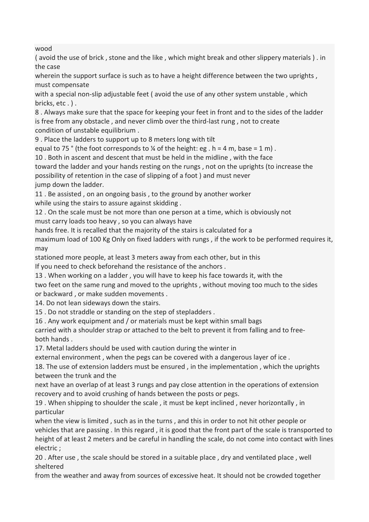wood

( avoid the use of brick , stone and the like , which might break and other slippery materials ) . in the case

wherein the support surface is such as to have a height difference between the two uprights, must compensate

with a special non-slip adjustable feet ( avoid the use of any other system unstable , which bricks, etc . ) .

8 . Always make sure that the space for keeping your feet in front and to the sides of the ladder is free from any obstacle , and never climb over the third-last rung , not to create condition of unstable equilibrium .

9 . Place the ladders to support up to 8 meters long with tilt

equal to 75  $\degree$  (the foot corresponds to  $\frac{1}{4}$  of the height: eg . h = 4 m, base = 1 m).

10 . Both in ascent and descent that must be held in the midline , with the face

toward the ladder and your hands resting on the rungs , not on the uprights (to increase the possibility of retention in the case of slipping of a foot ) and must never jump down the ladder.

11 . Be assisted , on an ongoing basis , to the ground by another worker while using the stairs to assure against skidding .

12 . On the scale must be not more than one person at a time, which is obviously not must carry loads too heavy , so you can always have

hands free. It is recalled that the majority of the stairs is calculated for a

maximum load of 100 Kg Only on fixed ladders with rungs , if the work to be performed requires it, may

stationed more people, at least 3 meters away from each other, but in this

If you need to check beforehand the resistance of the anchors .

13 . When working on a ladder , you will have to keep his face towards it, with the

two feet on the same rung and moved to the uprights , without moving too much to the sides or backward , or make sudden movements .

14. Do not lean sideways down the stairs.

15 . Do not straddle or standing on the step of stepladders .

16 . Any work equipment and / or materials must be kept within small bags

carried with a shoulder strap or attached to the belt to prevent it from falling and to freeboth hands .

17. Metal ladders should be used with caution during the winter in

external environment , when the pegs can be covered with a dangerous layer of ice .

18. The use of extension ladders must be ensured , in the implementation , which the uprights between the trunk and the

next have an overlap of at least 3 rungs and pay close attention in the operations of extension recovery and to avoid crushing of hands between the posts or pegs.

19 . When shipping to shoulder the scale , it must be kept inclined , never horizontally , in particular

when the view is limited , such as in the turns , and this in order to not hit other people or vehicles that are passing . In this regard , it is good that the front part of the scale is transported to height of at least 2 meters and be careful in handling the scale, do not come into contact with lines electric ;

20 . After use , the scale should be stored in a suitable place , dry and ventilated place , well sheltered

from the weather and away from sources of excessive heat. It should not be crowded together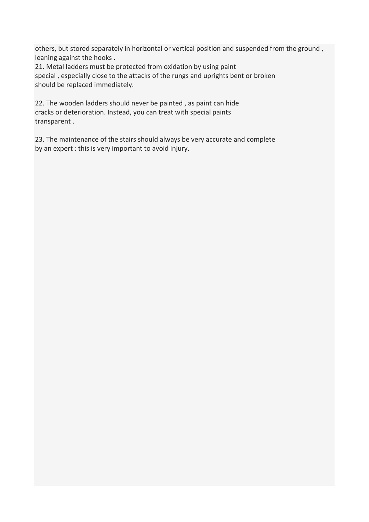others, but stored separately in horizontal or vertical position and suspended from the ground , leaning against the hooks .

21. Metal ladders must be protected from oxidation by using paint special , especially close to the attacks of the rungs and uprights bent or broken should be replaced immediately.

22. The wooden ladders should never be painted , as paint can hide cracks or deterioration. Instead, you can treat with special paints transparent .

23. The maintenance of the stairs should always be very accurate and complete by an expert : this is very important to avoid injury.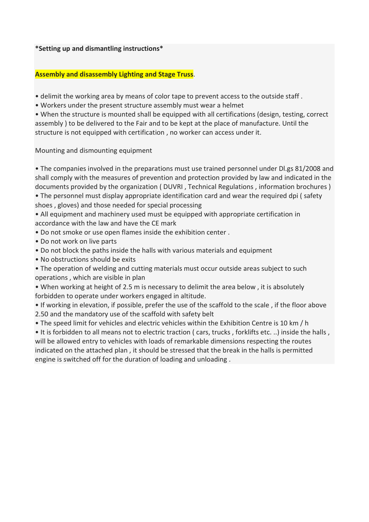\*Setting up and dismantling instructions\*

# Assembly and disassembly Lighting and Stage Truss.

• delimit the working area by means of color tape to prevent access to the outside staff .

• Workers under the present structure assembly must wear a helmet

• When the structure is mounted shall be equipped with all certifications (design, testing, correct assembly ) to be delivered to the Fair and to be kept at the place of manufacture. Until the structure is not equipped with certification , no worker can access under it.

Mounting and dismounting equipment

• The companies involved in the preparations must use trained personnel under Dl.gs 81/2008 and shall comply with the measures of prevention and protection provided by law and indicated in the documents provided by the organization ( DUVRI , Technical Regulations , information brochures )

• The personnel must display appropriate identification card and wear the required dpi ( safety shoes , gloves) and those needed for special processing

• All equipment and machinery used must be equipped with appropriate certification in accordance with the law and have the CE mark

• Do not smoke or use open flames inside the exhibition center .

- Do not work on live parts
- Do not block the paths inside the halls with various materials and equipment
- No obstructions should be exits

• The operation of welding and cutting materials must occur outside areas subject to such operations , which are visible in plan

• When working at height of 2.5 m is necessary to delimit the area below , it is absolutely forbidden to operate under workers engaged in altitude.

• If working in elevation, if possible, prefer the use of the scaffold to the scale , if the floor above 2.50 and the mandatory use of the scaffold with safety belt

• The speed limit for vehicles and electric vehicles within the Exhibition Centre is 10 km / h

• It is forbidden to all means not to electric traction ( cars, trucks , forklifts etc. ..) inside the halls , will be allowed entry to vehicles with loads of remarkable dimensions respecting the routes indicated on the attached plan , it should be stressed that the break in the halls is permitted engine is switched off for the duration of loading and unloading .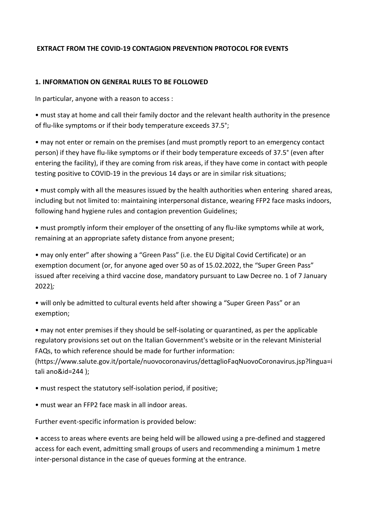# EXTRACT FROM THE COVID-19 CONTAGION PREVENTION PROTOCOL FOR EVENTS

## 1. INFORMATION ON GENERAL RULES TO BE FOLLOWED

In particular, anyone with a reason to access :

• must stay at home and call their family doctor and the relevant health authority in the presence of flu-like symptoms or if their body temperature exceeds 37.5°;

• may not enter or remain on the premises (and must promptly report to an emergency contact person) if they have flu-like symptoms or if their body temperature exceeds of 37.5° (even after entering the facility), if they are coming from risk areas, if they have come in contact with people testing positive to COVID-19 in the previous 14 days or are in similar risk situations;

• must comply with all the measures issued by the health authorities when entering shared areas, including but not limited to: maintaining interpersonal distance, wearing FFP2 face masks indoors, following hand hygiene rules and contagion prevention Guidelines;

• must promptly inform their employer of the onsetting of any flu-like symptoms while at work, remaining at an appropriate safety distance from anyone present;

• may only enter" after showing a "Green Pass" (i.e. the EU Digital Covid Certificate) or an exemption document (or, for anyone aged over 50 as of 15.02.2022, the "Super Green Pass" issued after receiving a third vaccine dose, mandatory pursuant to Law Decree no. 1 of 7 January 2022);

• will only be admitted to cultural events held after showing a "Super Green Pass" or an exemption;

• may not enter premises if they should be self-isolating or quarantined, as per the applicable regulatory provisions set out on the Italian Government's website or in the relevant Ministerial FAQs, to which reference should be made for further information:

(https://www.salute.gov.it/portale/nuovocoronavirus/dettaglioFaqNuovoCoronavirus.jsp?lingua=i tali ano&id=244 );

• must respect the statutory self-isolation period, if positive;

• must wear an FFP2 face mask in all indoor areas.

Further event-specific information is provided below:

• access to areas where events are being held will be allowed using a pre-defined and staggered access for each event, admitting small groups of users and recommending a minimum 1 metre inter-personal distance in the case of queues forming at the entrance.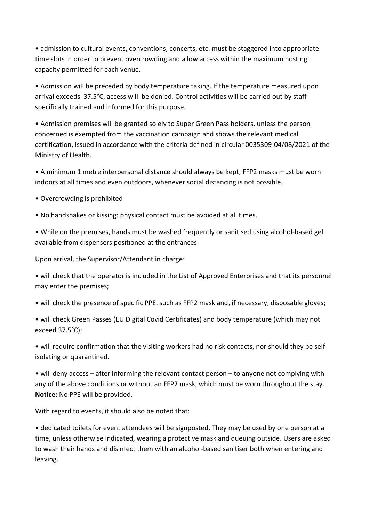• admission to cultural events, conventions, concerts, etc. must be staggered into appropriate time slots in order to prevent overcrowding and allow access within the maximum hosting capacity permitted for each venue.

• Admission will be preceded by body temperature taking. If the temperature measured upon arrival exceeds 37.5°C, access will be denied. Control activities will be carried out by staff specifically trained and informed for this purpose.

• Admission premises will be granted solely to Super Green Pass holders, unless the person concerned is exempted from the vaccination campaign and shows the relevant medical certification, issued in accordance with the criteria defined in circular 0035309-04/08/2021 of the Ministry of Health.

• A minimum 1 metre interpersonal distance should always be kept; FFP2 masks must be worn indoors at all times and even outdoors, whenever social distancing is not possible.

• Overcrowding is prohibited

• No handshakes or kissing: physical contact must be avoided at all times.

• While on the premises, hands must be washed frequently or sanitised using alcohol-based gel available from dispensers positioned at the entrances.

Upon arrival, the Supervisor/Attendant in charge:

• will check that the operator is included in the List of Approved Enterprises and that its personnel may enter the premises;

• will check the presence of specific PPE, such as FFP2 mask and, if necessary, disposable gloves;

• will check Green Passes (EU Digital Covid Certificates) and body temperature (which may not exceed 37.5°C);

• will require confirmation that the visiting workers had no risk contacts, nor should they be selfisolating or quarantined.

• will deny access – after informing the relevant contact person – to anyone not complying with any of the above conditions or without an FFP2 mask, which must be worn throughout the stay. Notice: No PPE will be provided.

With regard to events, it should also be noted that:

• dedicated toilets for event attendees will be signposted. They may be used by one person at a time, unless otherwise indicated, wearing a protective mask and queuing outside. Users are asked to wash their hands and disinfect them with an alcohol-based sanitiser both when entering and leaving.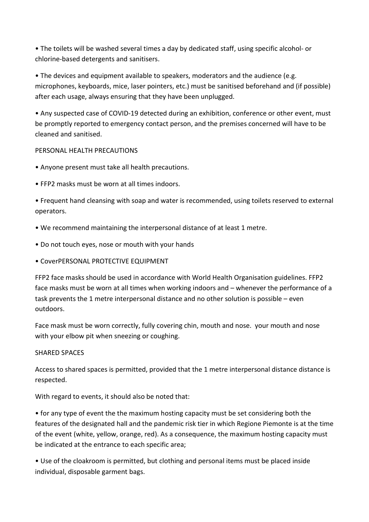• The toilets will be washed several times a day by dedicated staff, using specific alcohol- or chlorine-based detergents and sanitisers.

• The devices and equipment available to speakers, moderators and the audience (e.g. microphones, keyboards, mice, laser pointers, etc.) must be sanitised beforehand and (if possible) after each usage, always ensuring that they have been unplugged.

• Any suspected case of COVID-19 detected during an exhibition, conference or other event, must be promptly reported to emergency contact person, and the premises concerned will have to be cleaned and sanitised.

# PERSONAL HEALTH PRECAUTIONS

- Anyone present must take all health precautions.
- FFP2 masks must be worn at all times indoors.

• Frequent hand cleansing with soap and water is recommended, using toilets reserved to external operators.

- We recommend maintaining the interpersonal distance of at least 1 metre.
- Do not touch eyes, nose or mouth with your hands
- CoverPERSONAL PROTECTIVE EQUIPMENT

FFP2 face masks should be used in accordance with World Health Organisation guidelines. FFP2 face masks must be worn at all times when working indoors and – whenever the performance of a task prevents the 1 metre interpersonal distance and no other solution is possible – even outdoors.

Face mask must be worn correctly, fully covering chin, mouth and nose. your mouth and nose with your elbow pit when sneezing or coughing.

## SHARED SPACES

Access to shared spaces is permitted, provided that the 1 metre interpersonal distance distance is respected.

With regard to events, it should also be noted that:

• for any type of event the the maximum hosting capacity must be set considering both the features of the designated hall and the pandemic risk tier in which Regione Piemonte is at the time of the event (white, yellow, orange, red). As a consequence, the maximum hosting capacity must be indicated at the entrance to each specific area;

• Use of the cloakroom is permitted, but clothing and personal items must be placed inside individual, disposable garment bags.